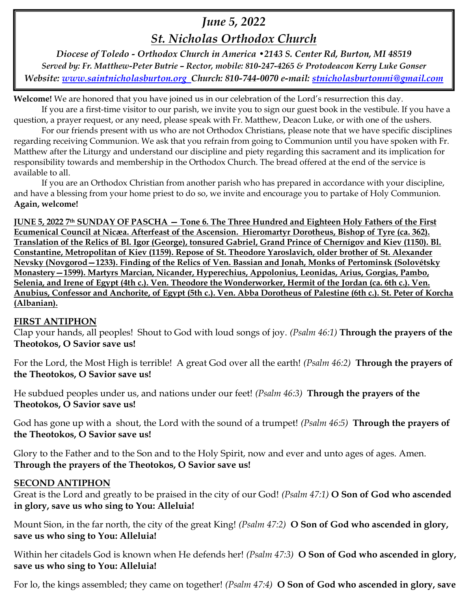# *June 5, 2022*

*St. Nicholas Orthodox Church*

*Diocese of Toledo - Orthodox Church in America •2143 S. Center Rd, Burton, MI 48519 Served by: Fr. Matthew-Peter Butrie – Rector, mobile: 810-247-4265 & Protodeacon Kerry Luke Gonser Website: [www.saintnicholasburton.org](http://www.saintnicholasburton.org/) Church: 810-744-0070 e-mail: [stnicholasburtonmi@gmail.com](mailto:stnicholasburtonmi@gmail.com)*

**Welcome!** We are honored that you have joined us in our celebration of the Lord's resurrection this day.

If you are a first-time visitor to our parish, we invite you to sign our guest book in the vestibule. If you have a question, a prayer request, or any need, please speak with Fr. Matthew, Deacon Luke, or with one of the ushers. For our friends present with us who are not Orthodox Christians, please note that we have specific disciplines

regarding receiving Communion. We ask that you refrain from going to Communion until you have spoken with Fr. Matthew after the Liturgy and understand our discipline and piety regarding this sacrament and its implication for responsibility towards and membership in the Orthodox Church. The bread offered at the end of the service is available to all.

If you are an Orthodox Christian from another parish who has prepared in accordance with your discipline, and have a blessing from your home priest to do so, we invite and encourage you to partake of Holy Communion. **Again, welcome!** 

**JUNE 5, 2022 7th SUNDAY OF PASCHA — Tone 6. The Three Hundred and Eighteen Holy Fathers of the First Ecumenical Council at Nicæa. Afterfeast of the Ascension. Hieromartyr Dorotheus, Bishop of Tyre (ca. 362). Translation of the Relics of Bl. Igor (George), tonsured Gabriel, Grand Prince of Chernígov and Kiev (1150). Bl. Constantine, Metropolitan of Kiev (1159). Repose of St. Theodore Yaroslavich, older brother of St. Alexander Nevsky (Novgorod—1233). Finding of the Relics of Ven. Bassian and Jonah, Monks of Pertominsk (Solovétsky Monastery—1599). Martyrs Marcian, Nicander, Hyperechius, Appolonius, Leonidas, Arius, Gorgias, Pambo, Selenia, and Irene of Egypt (4th c.). Ven. Theodore the Wonderworker, Hermit of the Jordan (ca. 6th c.). Ven. Anubius, Confessor and Anchorite, of Egypt (5th c.). Ven. Abba Dorotheus of Palestine (6th c.). St. Peter of Korcha (Albanian).**

## **FIRST ANTIPHON**

Clap your hands, all peoples! Shout to God with loud songs of joy. *(Psalm 46:1)* **Through the prayers of the Theotokos, O Savior save us!**

For the Lord, the Most High is terrible! A great God over all the earth! *(Psalm 46:2)* **Through the prayers of the Theotokos, O Savior save us!**

He subdued peoples under us, and nations under our feet! *(Psalm 46:3)* **Through the prayers of the Theotokos, O Savior save us!**

God has gone up with a shout, the Lord with the sound of a trumpet! *(Psalm 46:5)* **Through the prayers of the Theotokos, O Savior save us!**

Glory to the Father and to the Son and to the Holy Spirit, now and ever and unto ages of ages. Amen. **Through the prayers of the Theotokos, O Savior save us!**

#### **SECOND ANTIPHON**

Great is the Lord and greatly to be praised in the city of our God! *(Psalm 47:1)* **O Son of God who ascended in glory, save us who sing to You: Alleluia!**

Mount Sion, in the far north, the city of the great King! *(Psalm 47:2)* **O Son of God who ascended in glory, save us who sing to You: Alleluia!**

Within her citadels God is known when He defends her! *(Psalm 47:3)* **O Son of God who ascended in glory, save us who sing to You: Alleluia!**

For lo, the kings assembled; they came on together! *(Psalm 47:4)* **O Son of God who ascended in glory, save**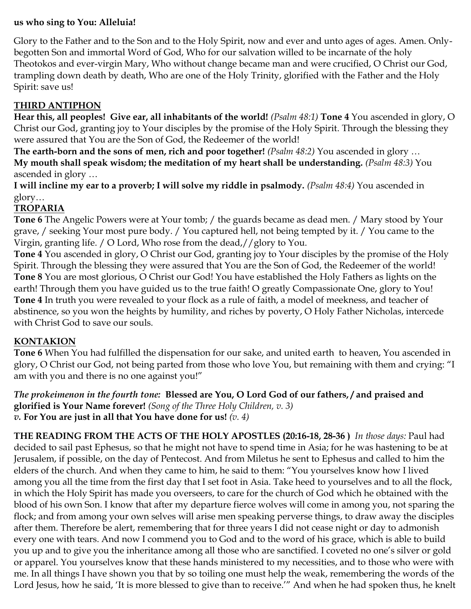#### **us who sing to You: Alleluia!**

Glory to the Father and to the Son and to the Holy Spirit, now and ever and unto ages of ages. Amen. Onlybegotten Son and immortal Word of God, Who for our salvation willed to be incarnate of the holy Theotokos and ever-virgin Mary, Who without change became man and were crucified, O Christ our God, trampling down death by death, Who are one of the Holy Trinity, glorified with the Father and the Holy Spirit: save us!

## **THIRD ANTIPHON**

**Hear this, all peoples! Give ear, all inhabitants of the world!** *(Psalm 48:1)* **Tone 4** You ascended in glory, O Christ our God, granting joy to Your disciples by the promise of the Holy Spirit. Through the blessing they were assured that You are the Son of God, the Redeemer of the world!

**The earth-born and the sons of men, rich and poor together!** *(Psalm 48:2)* You ascended in glory … **My mouth shall speak wisdom; the meditation of my heart shall be understanding.** *(Psalm 48:3)* You ascended in glory …

**I will incline my ear to a proverb; I will solve my riddle in psalmody.** *(Psalm 48:4)* You ascended in glory…

## **TROPARIA**

**Tone 6** The Angelic Powers were at Your tomb; / the guards became as dead men. / Mary stood by Your grave, / seeking Your most pure body. / You captured hell, not being tempted by it. / You came to the Virgin, granting life. / O Lord, Who rose from the dead,//glory to You.

**Tone 4** You ascended in glory, O Christ our God, granting joy to Your disciples by the promise of the Holy Spirit. Through the blessing they were assured that You are the Son of God, the Redeemer of the world! **Tone 8** You are most glorious, O Christ our God! You have established the Holy Fathers as lights on the earth! Through them you have guided us to the true faith! O greatly Compassionate One, glory to You! **Tone 4** In truth you were revealed to your flock as a rule of faith, a model of meekness, and teacher of abstinence, so you won the heights by humility, and riches by poverty, O Holy Father Nicholas, intercede with Christ God to save our souls.

#### **KONTAKION**

**Tone 6** When You had fulfilled the dispensation for our sake, and united earth to heaven, You ascended in glory, O Christ our God, not being parted from those who love You, but remaining with them and crying: "I am with you and there is no one against you!"

*The prokeimenon in the fourth tone:* **Blessed are You, O Lord God of our fathers, / and praised and glorified is Your Name forever!** *(Song of the Three Holy Children, v. 3) v.* **For You are just in all that You have done for us!** *(v. 4)*

**THE READING FROM THE ACTS OF THE HOLY APOSTLES (20:16-18, 28-36 )** *In those days:* Paul had decided to sail past Ephesus, so that he might not have to spend time in Asia; for he was hastening to be at Jerusalem, if possible, on the day of Pentecost. And from Miletus he sent to Ephesus and called to him the elders of the church. And when they came to him, he said to them: "You yourselves know how I lived among you all the time from the first day that I set foot in Asia. Take heed to yourselves and to all the flock, in which the Holy Spirit has made you overseers, to care for the church of God which he obtained with the blood of his own Son. I know that after my departure fierce wolves will come in among you, not sparing the flock; and from among your own selves will arise men speaking perverse things, to draw away the disciples after them. Therefore be alert, remembering that for three years I did not cease night or day to admonish every one with tears. And now I commend you to God and to the word of his grace, which is able to build you up and to give you the inheritance among all those who are sanctified. I coveted no one's silver or gold or apparel. You yourselves know that these hands ministered to my necessities, and to those who were with me. In all things I have shown you that by so toiling one must help the weak, remembering the words of the Lord Jesus, how he said, 'It is more blessed to give than to receive.'" And when he had spoken thus, he knelt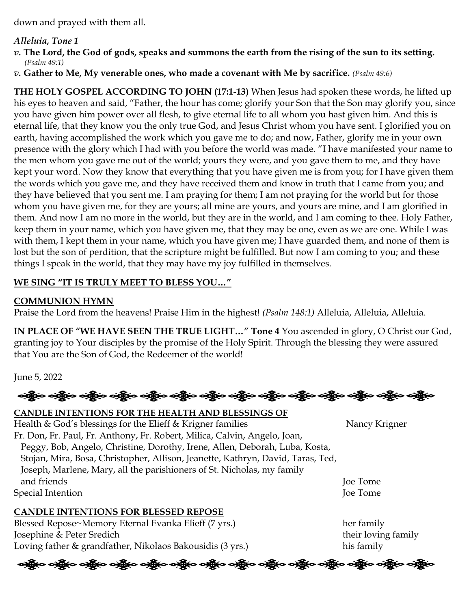down and prayed with them all.

#### *Alleluia, Tone 1*

- *v.* **The Lord, the God of gods, speaks and summons the earth from the rising of the sun to its setting.** *(Psalm 49:1)*
- *v.* **Gather to Me, My venerable ones, who made a covenant with Me by sacrifice.** *(Psalm 49:6)*

**THE HOLY GOSPEL ACCORDING TO JOHN (17:1-13)** When Jesus had spoken these words, he lifted up his eyes to heaven and said, "Father, the hour has come; glorify your Son that the Son may glorify you, since you have given him power over all flesh, to give eternal life to all whom you hast given him. And this is eternal life, that they know you the only true God, and Jesus Christ whom you have sent. I glorified you on earth, having accomplished the work which you gave me to do; and now, Father, glorify me in your own presence with the glory which I had with you before the world was made. "I have manifested your name to the men whom you gave me out of the world; yours they were, and you gave them to me, and they have kept your word. Now they know that everything that you have given me is from you; for I have given them the words which you gave me, and they have received them and know in truth that I came from you; and they have believed that you sent me. I am praying for them; I am not praying for the world but for those whom you have given me, for they are yours; all mine are yours, and yours are mine, and I am glorified in them. And now I am no more in the world, but they are in the world, and I am coming to thee. Holy Father, keep them in your name, which you have given me, that they may be one, even as we are one. While I was with them, I kept them in your name, which you have given me; I have guarded them, and none of them is lost but the son of perdition, that the scripture might be fulfilled. But now I am coming to you; and these things I speak in the world, that they may have my joy fulfilled in themselves.

### **WE SING "IT IS TRULY MEET TO BLESS YOU…"**

#### **COMMUNION HYMN**

Praise the Lord from the heavens! Praise Him in the highest! *(Psalm 148:1)* Alleluia, Alleluia, Alleluia.

**IN PLACE OF "WE HAVE SEEN THE TRUE LIGHT…" Tone 4** You ascended in glory, O Christ our God, granting joy to Your disciples by the promise of the Holy Spirit. Through the blessing they were assured that You are the Son of God, the Redeemer of the world!

June 5, 2022

ဆို့ပြီး ဝဆို့ပြီး ဝဆို့ပြီး ဝဆို့ပြီး ဝဆို့ပြီး ဝဆို့ပြီး ဝဆို့ပြီး ဝဆို့ပြီး ဝဆို့ပြီး ဝဆို့ပြီး ဝဆို့ပြီး ဝ

#### **CANDLE INTENTIONS FOR THE HEALTH AND BLESSINGS OF**

Health & God's blessings for the Elieff & Krigner families Nancy Krigner Fr. Don, Fr. Paul, Fr. Anthony, Fr. Robert, Milica, Calvin, Angelo, Joan, Peggy, Bob, Angelo, Christine, Dorothy, Irene, Allen, Deborah, Luba, Kosta, Stojan, Mira, Bosa, Christopher, Allison, Jeanette, Kathryn, David, Taras, Ted, Joseph, Marlene, Mary, all the parishioners of St. Nicholas, my family and friends Joe Tome Special Intention **Joe Tome** Joe Tome Joe Tome Joe Tome Joe Tome Joe Tome Joe Tome Joe Tome Joe Tome Joe Tome Joe Tome Joe Tome Joe Tome Joe Tome Joe Tome Joe Tome Joe Tome Joe Tome Joe Tome Joe Tome Joe Tome Joe Tome Joe

#### **CANDLE INTENTIONS FOR BLESSED REPOSE**

Blessed Repose~Memory Eternal Evanka Elieff (7 yrs.) her family Josephine & Peter Sredich their loving family Loving father & grandfather, Nikolaos Bakousidis (3 yrs.) his family

ခရွို့လ ခရွို့လ ခရွိမ် တို့မျှ သို့ပြော သန္တို့လ သန္တို့လ သန္တို့လ သန္တို့လ သန္တို့လ သန္တို့လ သန္တို့လ သန္တို့လ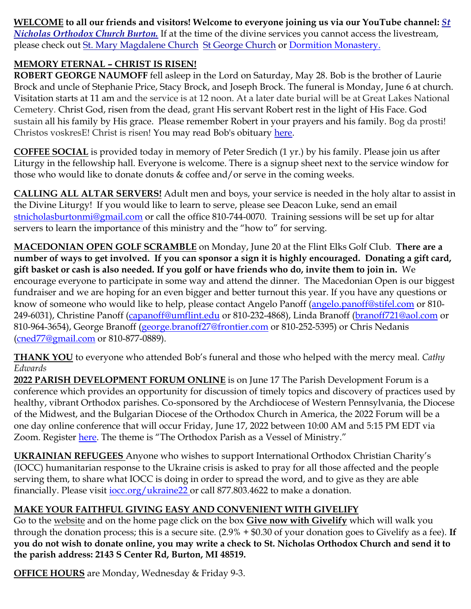**WELCOME to all our friends and visitors! Welcome to everyone joining us via our YouTube channel:** *[St](https://www.youtube.com/channel/UC59tV-Re443z-GCoETAUvfA)  [Nicholas Orthodox Church Burton.](https://www.youtube.com/channel/UC59tV-Re443z-GCoETAUvfA)* If at the time of the divine services you cannot access the livestream, please check out [St. Mary Magdalene Church](https://www.youtube.com/channel/UClHAqZrWkXdYELujbbIslHg) [St George Church](https://www.youtube.com/channel/UCpLWfxMIJK4uQOV41ekE6Wg/videos?view=2&flow=grid) or [Dormition Monastery.](https://www.youtube.com/channel/UC3z4Gp5OYPGhWYOxm-GlVnA)

### **MEMORY ETERNAL – CHRIST IS RISEN!**

**ROBERT GEORGE NAUMOFF** fell asleep in the Lord on Saturday, May 28. Bob is the brother of Laurie Brock and uncle of Stephanie Price, Stacy Brock, and Joseph Brock. The funeral is Monday, June 6 at church. Visitation starts at 11 am and the service is at 12 noon. At a later date burial will be at Great Lakes National Cemetery*.* Christ God, risen from the dead, grant His servant Robert rest in the light of His Face. God sustain all his family by His grace. Please remember Robert in your prayers and his family. Bog da prosti! Christos voskresE! Christ is risen! You may read Bob's obituary [here.](https://www.swartzfuneralhomeinc.com/obituary/robert-naumoff)

**COFFEE SOCIAL** is provided today in memory of Peter Sredich (1 yr.) by his family. Please join us after Liturgy in the fellowship hall. Everyone is welcome. There is a signup sheet next to the service window for those who would like to donate donuts  $&$  coffee and/or serve in the coming weeks.

**CALLING ALL ALTAR SERVERS!** Adult men and boys, your service is needed in the holy altar to assist in the Divine Liturgy! If you would like to learn to serve, please see Deacon Luke, send an email [stnicholasburtonmi@gmail.com](mailto:stnicholasburtonmi@gmail.com) or call the office 810-744-0070. Training sessions will be set up for altar servers to learn the importance of this ministry and the "how to" for serving.

**MACEDONIAN OPEN GOLF SCRAMBLE** on Monday, June 20 at the Flint Elks Golf Club. **There are a number of ways to get involved. If you can sponsor a sign it is highly encouraged. Donating a gift card, gift basket or cash is also needed. If you golf or have friends who do, invite them to join in.** We encourage everyone to participate in some way and attend the dinner. The Macedonian Open is our biggest fundraiser and we are hoping for an even bigger and better turnout this year. If you have any questions or know of someone who would like to help, please contact Angelo Panoff [\(angelo.panoff@stifel.com](mailto:angelo.panoff@stifel.com) or 810-249-6031), Christine Panoff [\(capanoff@umflint.edu](mailto:capanoff@umflint.edu) or 810-232-4868), Linda Branoff [\(branoff721@aol.com](mailto:branoff721@aol.com) or 810-964-3654), George Branoff [\(george.branoff27@frontier.com](mailto:george.branoff27@frontier.com) or 810-252-5395) or Chris Nedanis [\(cned77@gmail.com](mailto:cned77@gmail.com) or 810-877-0889).

**THANK YOU** to everyone who attended Bob's funeral and those who helped with the mercy meal. *Cathy Edwards*

**2022 PARISH DEVELOPMENT FORUM ONLINE** is on June 17 The Parish Development Forum is a conference which provides an opportunity for discussion of timely topics and discovery of practices used by healthy, vibrant Orthodox parishes. Co-sponsored by the Archdiocese of Western Pennsylvania, the Diocese of the Midwest, and the Bulgarian Diocese of the Orthodox Church in America, the 2022 Forum will be a one day online conference that will occur Friday, June 17, 2022 between 10:00 AM and 5:15 PM EDT via Zoom. Register [here.](http://events.r20.constantcontact.com/register/event?oeidk=a07ej6fjzcf2ca0a6fd&llr=wy96qwbab) The theme is "The Orthodox Parish as a Vessel of Ministry."

**UKRAINIAN REFUGEES** Anyone who wishes to support International Orthodox Christian Charity's (IOCC) humanitarian response to the Ukraine crisis is asked to pray for all those affected and the people serving them, to share what IOCC is doing in order to spread the word, and to give as they are able financially. Please visit [iocc.org/ukraine22](https://support.iocc.org/site/Donation2;jsessionid=00000000.app30124b?df_id=7543&mfc_pref=T&7543.donation=form1&NONCE_TOKEN=05245C7685D0FB907A3309557B81ACDD) or call 877.803.4622 to make a donation.

# **MAKE YOUR FAITHFUL GIVING EASY AND CONVENIENT WITH GIVELIFY**

Go to the [website](http://www.saintnicholasburton.org/) and on the home page click on the box **[Give now with Givelify](https://www.givelify.com/givenow/1.0/Mzc5MTg=/selection)** which will walk you through the donation process; this is a secure site. (2.9% + \$0.30 of your donation goes to Givelify as a fee). **If you do not wish to donate online, you may write a check to St. Nicholas Orthodox Church and send it to the parish address: 2143 S Center Rd, Burton, MI 48519.**

**OFFICE HOURS** are Monday, Wednesday & Friday 9-3.